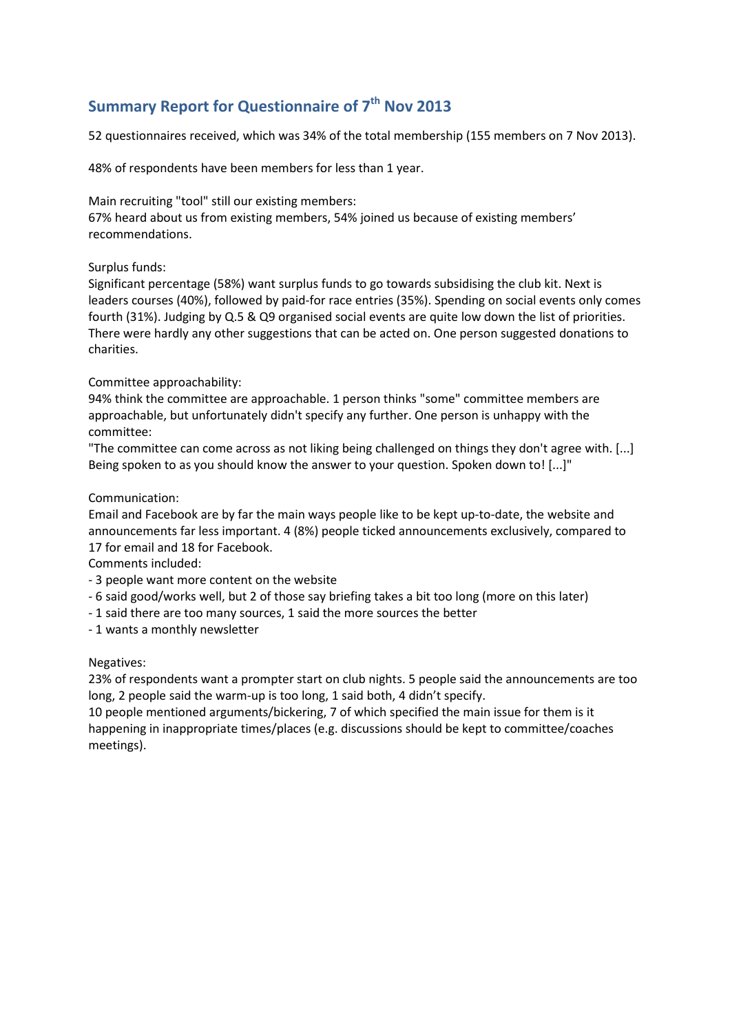# **Summary Report for Questionnaire of 7th Nov 2013**

52 questionnaires received, which was 34% of the total membership (155 members on 7 Nov 2013).

48% of respondents have been members for less than 1 year.

Main recruiting "tool" still our existing members:

67% heard about us from existing members, 54% joined us because of existing members' recommendations.

## Surplus funds:

Significant percentage (58%) want surplus funds to go towards subsidising the club kit. Next is leaders courses (40%), followed by paid-for race entries (35%). Spending on social events only comes fourth (31%). Judging by Q.5 & Q9 organised social events are quite low down the list of priorities. There were hardly any other suggestions that can be acted on. One person suggested donations to charities.

## Committee approachability:

94% think the committee are approachable. 1 person thinks "some" committee members are approachable, but unfortunately didn't specify any further. One person is unhappy with the committee:

"The committee can come across as not liking being challenged on things they don't agree with. [...] Being spoken to as you should know the answer to your question. Spoken down to! [...]"

## Communication:

Email and Facebook are by far the main ways people like to be kept up-to-date, the website and announcements far less important. 4 (8%) people ticked announcements exclusively, compared to 17 for email and 18 for Facebook.

Comments included:

- 3 people want more content on the website
- 6 said good/works well, but 2 of those say briefing takes a bit too long (more on this later)
- 1 said there are too many sources, 1 said the more sources the better
- 1 wants a monthly newsletter

### Negatives:

23% of respondents want a prompter start on club nights. 5 people said the announcements are too long, 2 people said the warm-up is too long, 1 said both, 4 didn't specify.

10 people mentioned arguments/bickering, 7 of which specified the main issue for them is it happening in inappropriate times/places (e.g. discussions should be kept to committee/coaches meetings).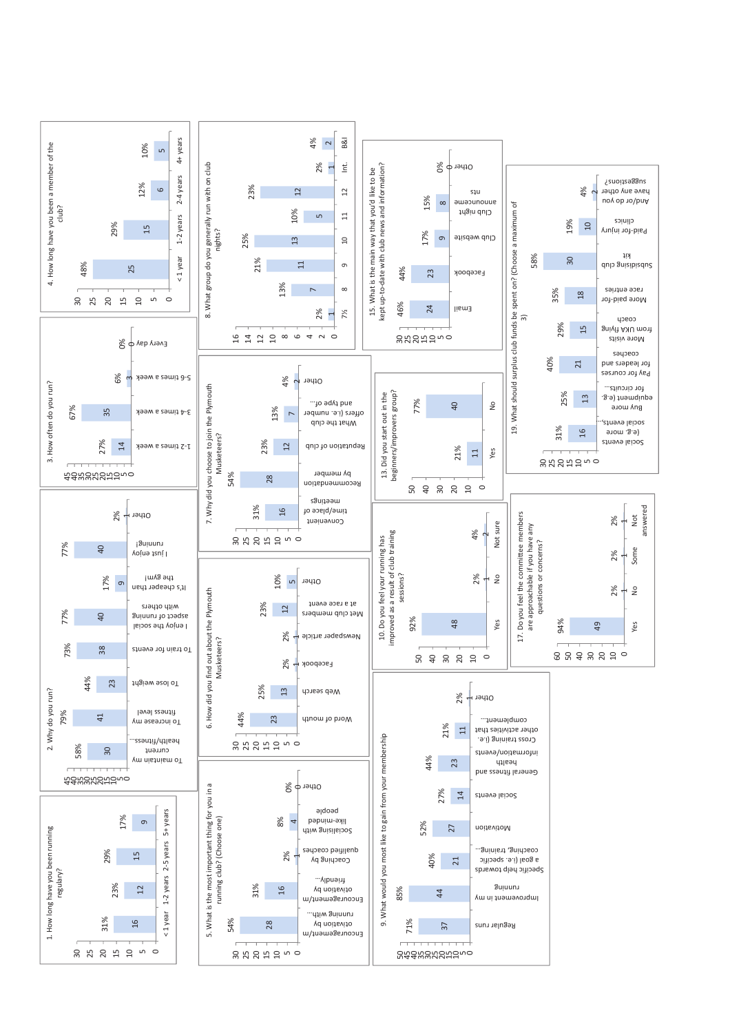